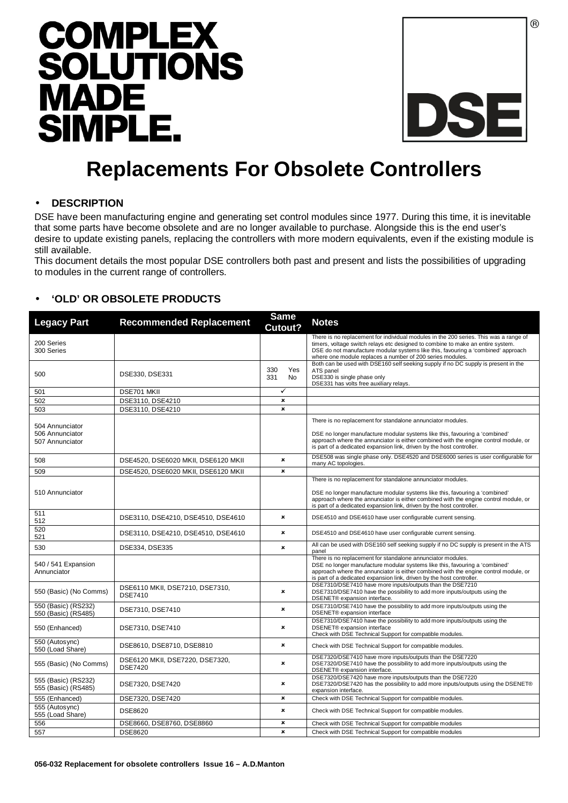



# **Replacements For Obsolete Controllers**

#### • **DESCRIPTION**

DSE have been manufacturing engine and generating set control modules since 1977. During this time, it is inevitable that some parts have become obsolete and are no longer available to purchase. Alongside this is the end user's desire to update existing panels, replacing the controllers with more modern equivalents, even if the existing module is still available.

This document details the most popular DSE controllers both past and present and lists the possibilities of upgrading to modules in the current range of controllers.

## • **'OLD' OR OBSOLETE PRODUCTS**

| <b>Legacy Part</b>                                    | <b>Recommended Replacement</b>                    | <b>Same</b><br>Cutout?    | <b>Notes</b>                                                                                                                                                                                                                                                                                                               |
|-------------------------------------------------------|---------------------------------------------------|---------------------------|----------------------------------------------------------------------------------------------------------------------------------------------------------------------------------------------------------------------------------------------------------------------------------------------------------------------------|
| 200 Series<br>300 Series                              |                                                   |                           | There is no replacement for individual modules in the 200 series. This was a range of<br>timers, voltage switch relays etc designed to combine to make an entire system.<br>DSE do not manufacture modular systems like this, favouring a 'combined' approach<br>where one module replaces a number of 200 series modules. |
| 500                                                   | DSE330, DSE331                                    | 330<br>Yes<br>331<br>No.  | Both can be used with DSE160 self seeking supply if no DC supply is present in the<br>ATS panel<br>DSE330 is single phase only<br>DSE331 has volts free auxiliary relays.                                                                                                                                                  |
| 501                                                   | DSE701 MKII                                       | $\checkmark$              |                                                                                                                                                                                                                                                                                                                            |
| 502                                                   | DSE3110, DSE4210                                  | $\pmb{\times}$            |                                                                                                                                                                                                                                                                                                                            |
| 503                                                   | DSE3110, DSE4210                                  | $\boldsymbol{\mathsf{x}}$ |                                                                                                                                                                                                                                                                                                                            |
| 504 Annunciator<br>506 Annunciator<br>507 Annunciator |                                                   |                           | There is no replacement for standalone annunciator modules.<br>DSE no longer manufacture modular systems like this, favouring a 'combined'<br>approach where the annunciator is either combined with the engine control module, or<br>is part of a dedicated expansion link, driven by the host controller.                |
| 508                                                   | DSE4520, DSE6020 MKII, DSE6120 MKII               | $\mathbf{x}$              | DSE508 was single phase only. DSE4520 and DSE6000 series is user configurable for<br>many AC topologies.                                                                                                                                                                                                                   |
| 509                                                   | DSE4520, DSE6020 MKII, DSE6120 MKII               | $\boldsymbol{\mathsf{x}}$ |                                                                                                                                                                                                                                                                                                                            |
| 510 Annunciator                                       |                                                   |                           | There is no replacement for standalone annunciator modules.<br>DSE no longer manufacture modular systems like this, favouring a 'combined'<br>approach where the annunciator is either combined with the engine control module, or<br>is part of a dedicated expansion link, driven by the host controller.                |
| 511<br>512                                            | DSE3110, DSE4210, DSE4510, DSE4610                | $\mathbf{x}$              | DSE4510 and DSE4610 have user configurable current sensing.                                                                                                                                                                                                                                                                |
| 520<br>521                                            | DSE3110, DSE4210, DSE4510, DSE4610                | $\pmb{\times}$            | DSE4510 and DSE4610 have user configurable current sensing.                                                                                                                                                                                                                                                                |
| 530                                                   | DSE334, DSE335                                    | $\pmb{\times}$            | All can be used with DSE160 self seeking supply if no DC supply is present in the ATS<br>panel                                                                                                                                                                                                                             |
| 540 / 541 Expansion<br>Annunciator                    |                                                   |                           | There is no replacement for standalone annunciator modules.<br>DSE no longer manufacture modular systems like this, favouring a 'combined'<br>approach where the annunciator is either combined with the engine control module, or<br>is part of a dedicated expansion link, driven by the host controller.                |
| 550 (Basic) (No Comms)                                | DSE6110 MKII, DSE7210, DSE7310,<br><b>DSE7410</b> | $\pmb{\times}$            | DSE7310/DSE7410 have more inputs/outputs than the DSE7210<br>DSE7310/DSE7410 have the possibility to add more inputs/outputs using the<br>DSENET® expansion interface.                                                                                                                                                     |
| 550 (Basic) (RS232)<br>550 (Basic) (RS485)            | DSE7310, DSE7410                                  | $\pmb{\times}$            | DSE7310/DSE7410 have the possibility to add more inputs/outputs using the<br>DSENET® expansion interface                                                                                                                                                                                                                   |
| 550 (Enhanced)                                        | DSE7310, DSE7410                                  | $\boldsymbol{\mathsf{x}}$ | DSE7310/DSE7410 have the possibility to add more inputs/outputs using the<br>DSENET® expansion interface<br>Check with DSE Technical Support for compatible modules.                                                                                                                                                       |
| 550 (Autosync)<br>550 (Load Share)                    | DSE8610, DSE8710, DSE8810                         | $\boldsymbol{\mathsf{x}}$ | Check with DSE Technical Support for compatible modules.                                                                                                                                                                                                                                                                   |
| 555 (Basic) (No Comms)                                | DSE6120 MKII, DSE7220, DSE7320,<br><b>DSE7420</b> | $\pmb{\times}$            | DSE7320/DSE7410 have more inputs/outputs than the DSE7220<br>DSE7320/DSE7410 have the possibility to add more inputs/outputs using the<br>DSENET® expansion interface.                                                                                                                                                     |
| 555 (Basic) (RS232)<br>555 (Basic) (RS485)            | DSE7320, DSE7420                                  | $\boldsymbol{\mathsf{x}}$ | DSE7320/DSE7420 have more inputs/outputs than the DSE7220<br>DSE7320/DSE7420 has the possibility to add more inputs/outputs using the DSENET®<br>expansion interface.                                                                                                                                                      |
| 555 (Enhanced)                                        | DSE7320, DSE7420                                  | $\pmb{\times}$            | Check with DSE Technical Support for compatible modules.                                                                                                                                                                                                                                                                   |
| 555 (Autosync)<br>555 (Load Share)                    | DSE8620                                           | $\boldsymbol{\mathsf{x}}$ | Check with DSE Technical Support for compatible modules.                                                                                                                                                                                                                                                                   |
| 556                                                   | DSE8660, DSE8760, DSE8860                         | $\pmb{\times}$            | Check with DSE Technical Support for compatible modules                                                                                                                                                                                                                                                                    |
| 557                                                   | DSE8620                                           | $\boldsymbol{\mathsf{x}}$ | Check with DSE Technical Support for compatible modules                                                                                                                                                                                                                                                                    |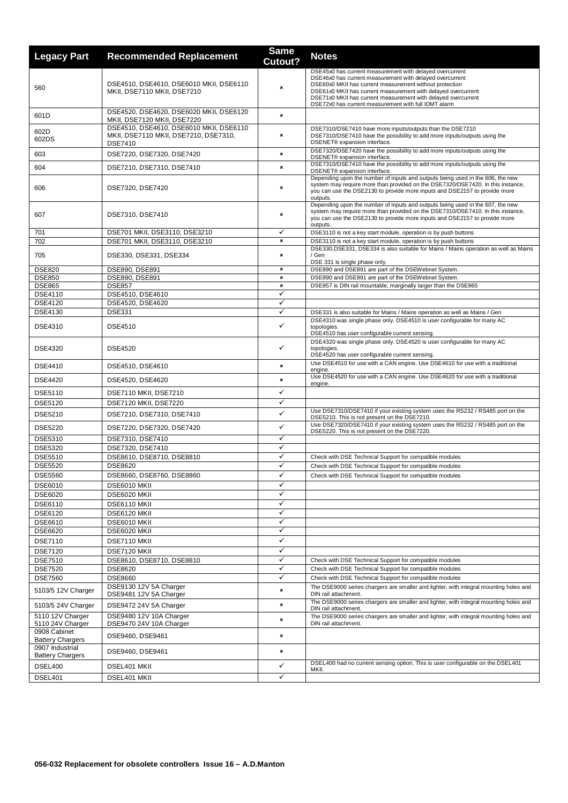| <b>Legacy Part</b>                         | <b>Recommended Replacement</b>                                                                     | <b>Same</b><br>Cutout? | <b>Notes</b>                                                                                                                                                                                                                                                                                                                                                              |
|--------------------------------------------|----------------------------------------------------------------------------------------------------|------------------------|---------------------------------------------------------------------------------------------------------------------------------------------------------------------------------------------------------------------------------------------------------------------------------------------------------------------------------------------------------------------------|
| 560                                        | DSE4510, DSE4610, DSE6010 MKII, DSE6110<br>MKII, DSE7110 MKII, DSE7210                             | ×                      | DSE45x0 has current measurement with delayed overcurrent<br>DSE46x0 has current measurement with delayed overcurrent<br>DSE60x0 MKII has current measurement without protection<br>DSE61x0 MKII has current measurement with delayed overcurrent<br>DSE71x0 MKII has current measurement with delayed overcurrent<br>DSE72x0 has current measurement with full IDMT alarm |
| 601D                                       | DSE4520, DSE4620, DSE6020 MKII, DSE6120<br>MKII, DSE7120 MKII, DSE7220                             | ×                      |                                                                                                                                                                                                                                                                                                                                                                           |
| 602D<br>602DS                              | DSE4510, DSE4610, DSE6010 MKII, DSE6110<br>MKII, DSE7110 MKII, DSE7210, DSE7310,<br><b>DSE7410</b> | ×                      | DSE7310/DSE7410 have more inputs/outputs than the DSE7210<br>DSE7310/DSE7410 have the possibility to add more inputs/outputs using the<br>DSENET® expansion interface.                                                                                                                                                                                                    |
| 603                                        | DSE7220, DSE7320, DSE7420                                                                          | ×                      | DSE7320/DSE7420 have the possibility to add more inputs/outputs using the<br>DSENET® expansion interface.                                                                                                                                                                                                                                                                 |
| 604                                        | DSE7210, DSE7310, DSE7410                                                                          | ×                      | DSE7310/DSE7410 have the possibility to add more inputs/outputs using the<br>DSENET® expansion interface.                                                                                                                                                                                                                                                                 |
| 606                                        | DSE7320, DSE7420                                                                                   | ×                      | Depending upon the number of inputs and outputs being used in the 606, the new<br>system may require more than provided on the DSE7320/DSE7420. In this instance,<br>you can use the DSE2130 to provide more inputs and DSE2157 to provide more<br>outputs.                                                                                                               |
| 607                                        | DSE7310, DSE7410                                                                                   | ×                      | Depending upon the number of inputs and outputs being used in the 607, the new<br>system may require more than provided on the DSE7310/DSE7410. In this instance,<br>you can use the DSE2130 to provide more inputs and DSE2157 to provide more<br>outputs.                                                                                                               |
| 701                                        | DSE701 MKII, DSE3110, DSE3210                                                                      | ✓                      | DSE3110 is not a key start module, operation is by push buttons                                                                                                                                                                                                                                                                                                           |
| 702                                        | DSE701 MKII, DSE3110, DSE3210                                                                      | ×                      | DSE3110 is not a key start module, operation is by push buttons                                                                                                                                                                                                                                                                                                           |
| 705                                        | DSE330, DSE331, DSE334                                                                             | ×                      | DSE330,DSE331, DSE334 is also suitable for Mains / Mains operation as well as Mains<br>/ Gen<br>DSE 331 is single phase only.                                                                                                                                                                                                                                             |
| <b>DSE820</b>                              | DSE890, DSE891                                                                                     | ×                      | DSE890 and DSE891 are part of the DSEWebnet System.                                                                                                                                                                                                                                                                                                                       |
| <b>DSE850</b>                              | DSE890, DSE891                                                                                     | ×                      | DSE890 and DSE891 are part of the DSEWebnet System.                                                                                                                                                                                                                                                                                                                       |
| <b>DSE865</b>                              | <b>DSE857</b>                                                                                      | ×                      | DSE857 is DIN rail mountable, marginally larger than the DSE865                                                                                                                                                                                                                                                                                                           |
| DSE4110                                    | DSE4510, DSE4610                                                                                   | ✓                      |                                                                                                                                                                                                                                                                                                                                                                           |
| <b>DSE4120</b>                             | DSE4520, DSE4620                                                                                   | ✓<br>✓                 |                                                                                                                                                                                                                                                                                                                                                                           |
| DSE4130<br><b>DSE4310</b>                  | <b>DSE331</b><br><b>DSE4510</b>                                                                    | $\checkmark$           | DSE331 is also suitable for Mains / Mains operation as well as Mains / Gen<br>DSE4310 was single phase only. DSE4510 is user configurable for many AC<br>topologies.                                                                                                                                                                                                      |
| <b>DSE4320</b>                             | <b>DSE4520</b>                                                                                     | ✓                      | DSE4510 has user configurable current sensing.<br>DSE4320 was single phase only. DSE4520 is user configurable for many AC<br>topologies.<br>DSE4520 has user configurable current sensing.                                                                                                                                                                                |
| <b>DSE4410</b>                             | DSE4510, DSE4610                                                                                   | ×                      | Use DSE4510 for use with a CAN engine. Use DSE4610 for use with a traditional<br>engine.                                                                                                                                                                                                                                                                                  |
| <b>DSE4420</b>                             | DSE4520, DSE4620                                                                                   | ×                      | Use DSE4520 for use with a CAN engine. Use DSE4620 for use with a traditional<br>engine.                                                                                                                                                                                                                                                                                  |
| <b>DSE5110</b>                             | <b>DSE7110 MKII, DSE7210</b>                                                                       | ✓                      |                                                                                                                                                                                                                                                                                                                                                                           |
| <b>DSE5120</b>                             | DSE7120 MKII, DSE7220                                                                              | ✓                      |                                                                                                                                                                                                                                                                                                                                                                           |
| DSE5210                                    | DSE7210, DSE7310, DSE7410                                                                          | ✓                      | Use DSE7310/DSE7410 if your existing system uses the RS232 / RS485 port on the<br>DSE5210. This is not present on the DSE7210.                                                                                                                                                                                                                                            |
| <b>DSE5220</b>                             | DSE7220, DSE7320, DSE7420                                                                          | ✓                      | Use DSE7320/DSE7410 if your existing system uses the RS232 / RS485 port on the<br>DSE5220. This is not present on the DSE7220.                                                                                                                                                                                                                                            |
| DSE5310                                    | DSE7310, DSE7410                                                                                   | $\checkmark$           |                                                                                                                                                                                                                                                                                                                                                                           |
| <b>DSE5320</b>                             | DSE7320, DSE7410                                                                                   | ✓                      |                                                                                                                                                                                                                                                                                                                                                                           |
| DSE5510                                    | DSE8610, DSE8710, DSE8810                                                                          | ✓                      | Check with DSE Technical Support for compatible modules                                                                                                                                                                                                                                                                                                                   |
| <b>DSE5520</b>                             | <b>DSE8620</b>                                                                                     | ✓                      | Check with DSE Technical Support for compatible modules                                                                                                                                                                                                                                                                                                                   |
| <b>DSE5560</b>                             | DSE8660, DSE8760, DSE8860                                                                          | ✓                      | Check with DSE Technical Support for compatible modules                                                                                                                                                                                                                                                                                                                   |
| DSE6010                                    | DSE6010 MKII                                                                                       | ✓                      |                                                                                                                                                                                                                                                                                                                                                                           |
| DSE6020                                    | DSE6020 MKII                                                                                       | ✓                      |                                                                                                                                                                                                                                                                                                                                                                           |
| DSE6110                                    | DSE6110 MKII                                                                                       | ✓                      |                                                                                                                                                                                                                                                                                                                                                                           |
| DSE6120                                    | DSE6120 MKII                                                                                       | ✓<br>✓                 |                                                                                                                                                                                                                                                                                                                                                                           |
| DSE6610<br>DSE6620                         | DSE6010 MKII<br>DSE6020 MKII                                                                       | ✓                      |                                                                                                                                                                                                                                                                                                                                                                           |
| DSE7110                                    |                                                                                                    | ✓                      |                                                                                                                                                                                                                                                                                                                                                                           |
|                                            | DSE7110 MKII                                                                                       | ✓                      |                                                                                                                                                                                                                                                                                                                                                                           |
| <b>DSE7120</b><br><b>DSE7510</b>           | DSE7120 MKII<br>DSE8610, DSE8710, DSE8810                                                          | ✓                      | Check with DSE Technical Support for compatible modules                                                                                                                                                                                                                                                                                                                   |
| <b>DSE7520</b>                             | <b>DSE8620</b>                                                                                     | ✓                      | Check with DSE Technical Support for compatible modules                                                                                                                                                                                                                                                                                                                   |
| <b>DSE7560</b>                             | <b>DSE8660</b>                                                                                     | $\checkmark$           | Check with DSE Technical Support for compatible modules                                                                                                                                                                                                                                                                                                                   |
| 5103/5 12V Charger                         | DSE9130 12V 5A Charger<br>DSE9481 12V 5A Charger                                                   | ×                      | The DSE9000 series chargers are smaller and lighter, with integral mounting holes and<br>DIN rail attachment.                                                                                                                                                                                                                                                             |
| 5103/5 24V Charger                         | DSE9472 24V 5A Charger                                                                             | ×                      | The DSE9000 series chargers are smaller and lighter, with integral mounting holes and<br>DIN rail attachment.                                                                                                                                                                                                                                                             |
| 5110 12V Charger<br>5110 24V Charger       | DSE9480 12V 10A Charger<br>DSE9470 24V 10A Charger                                                 | ×                      | The DSE9000 series chargers are smaller and lighter, with integral mounting holes and<br>DIN rail attachment.                                                                                                                                                                                                                                                             |
| 0908 Cabinet<br><b>Battery Chargers</b>    | DSE9460, DSE9461                                                                                   | ×                      |                                                                                                                                                                                                                                                                                                                                                                           |
| 0907 Industrial<br><b>Battery Chargers</b> | DSE9460, DSE9461                                                                                   | ×                      |                                                                                                                                                                                                                                                                                                                                                                           |
| DSEL400                                    | DSEL401 MKII                                                                                       | ✓                      | DSEL400 had no current sensing option. This is user configurable on the DSEL401<br>MKII.                                                                                                                                                                                                                                                                                  |
| DSEL401                                    | DSEL401 MKII                                                                                       | ✓                      |                                                                                                                                                                                                                                                                                                                                                                           |